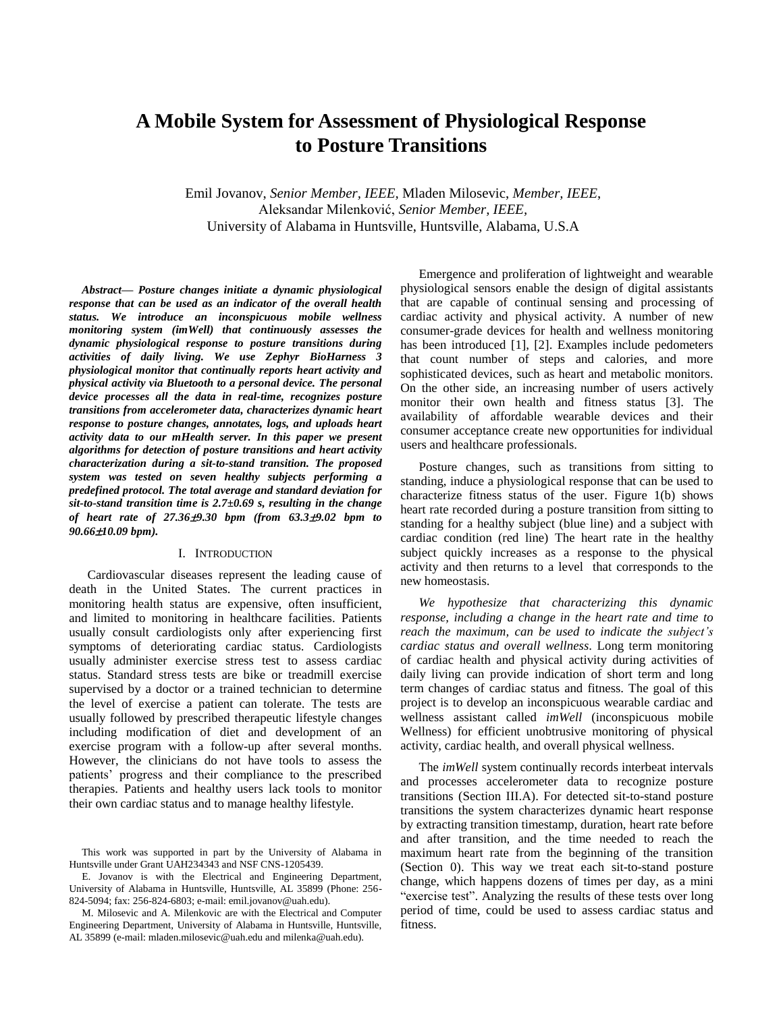# **A Mobile System for Assessment of Physiological Response to Posture Transitions**

Emil Jovanov, *Senior Member, IEEE,* Mladen Milosevic, *Member, IEEE*, Aleksandar Milenković, *Senior Member, IEEE,* University of Alabama in Huntsville, Huntsville, Alabama, U.S.A

*Abstract— Posture changes initiate a dynamic physiological response that can be used as an indicator of the overall health status. We introduce an inconspicuous mobile wellness monitoring system (imWell) that continuously assesses the dynamic physiological response to posture transitions during activities of daily living. We use Zephyr BioHarness 3 physiological monitor that continually reports heart activity and physical activity via Bluetooth to a personal device. The personal device processes all the data in real-time, recognizes posture transitions from accelerometer data, characterizes dynamic heart response to posture changes, annotates, logs, and uploads heart activity data to our mHealth server. In this paper we present algorithms for detection of posture transitions and heart activity characterization during a sit-to-stand transition. The proposed system was tested on seven healthy subjects performing a predefined protocol. The total average and standard deviation for sit-to-stand transition time is 2.7±0.69 s, resulting in the change of heart rate of 27.369.30 bpm (from 63.39.02 bpm to 90.6610.09 bpm).*

## I. INTRODUCTION

Cardiovascular diseases represent the leading cause of death in the United States. The current practices in monitoring health status are expensive, often insufficient, and limited to monitoring in healthcare facilities. Patients usually consult cardiologists only after experiencing first symptoms of deteriorating cardiac status. Cardiologists usually administer exercise stress test to assess cardiac status. Standard stress tests are bike or treadmill exercise supervised by a doctor or a trained technician to determine the level of exercise a patient can tolerate. The tests are usually followed by prescribed therapeutic lifestyle changes including modification of diet and development of an exercise program with a follow-up after several months. However, the clinicians do not have tools to assess the patients' progress and their compliance to the prescribed therapies. Patients and healthy users lack tools to monitor their own cardiac status and to manage healthy lifestyle.

This work was supported in part by the University of Alabama in Huntsville under Grant UAH234343 and NSF CNS-1205439.

E. Jovanov is with the Electrical and Engineering Department, University of Alabama in Huntsville, Huntsville, AL 35899 (Phone: 256- 824-5094; fax: 256-824-6803; e-mail: emil.jovanov@uah.edu).

M. Milosevic and A. Milenkovic are with the Electrical and Computer Engineering Department, University of Alabama in Huntsville, Huntsville, AL 35899 (e-mail: mladen.milosevic@uah.edu and milenka@uah.edu).

Emergence and proliferation of lightweight and wearable physiological sensors enable the design of digital assistants that are capable of continual sensing and processing of cardiac activity and physical activity. A number of new consumer-grade devices for health and wellness monitoring has been introduced [1], [2]. Examples include pedometers that count number of steps and calories, and more sophisticated devices, such as heart and metabolic monitors. On the other side, an increasing number of users actively monitor their own health and fitness status [3]. The availability of affordable wearable devices and their consumer acceptance create new opportunities for individual users and healthcare professionals.

Posture changes, such as transitions from sitting to standing, induce a physiological response that can be used to characterize fitness status of the user. [Figure 1\(](#page-1-0)b) shows heart rate recorded during a posture transition from sitting to standing for a healthy subject (blue line) and a subject with cardiac condition (red line) The heart rate in the healthy subject quickly increases as a response to the physical activity and then returns to a level that corresponds to the new homeostasis.

*We hypothesize that characterizing this dynamic response, including a change in the heart rate and time to reach the maximum, can be used to indicate the subject's cardiac status and overall wellness*. Long term monitoring of cardiac health and physical activity during activities of daily living can provide indication of short term and long term changes of cardiac status and fitness. The goal of this project is to develop an inconspicuous wearable cardiac and wellness assistant called *imWell* (inconspicuous mobile Wellness) for efficient unobtrusive monitoring of physical activity, cardiac health, and overall physical wellness.

The *imWell* system continually records interbeat intervals and processes accelerometer data to recognize posture transitions (Section [III.A\)](#page-1-1). For detected sit-to-stand posture transitions the system characterizes dynamic heart response by extracting transition timestamp, duration, heart rate before and after transition, and the time needed to reach the maximum heart rate from the beginning of the transition (Section [0\)](#page-2-0). This way we treat each sit-to-stand posture change, which happens dozens of times per day, as a mini "exercise test". Analyzing the results of these tests over long period of time, could be used to assess cardiac status and fitness.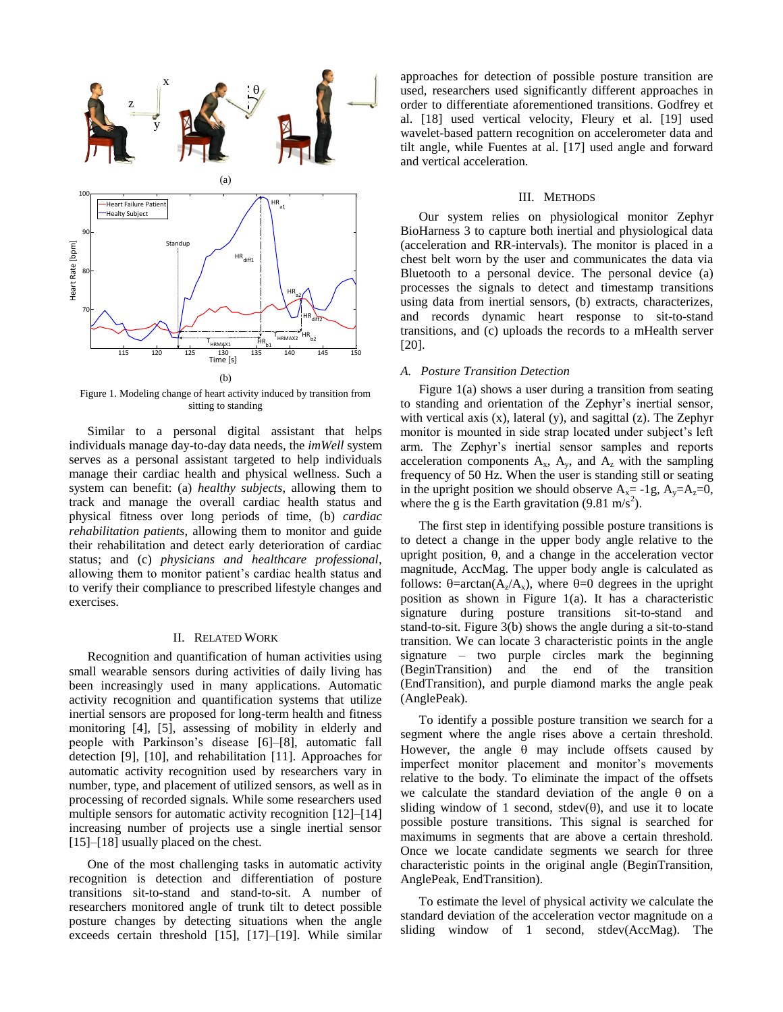

<span id="page-1-0"></span>Figure 1. Modeling change of heart activity induced by transition from sitting to standing

Similar to a personal digital assistant that helps individuals manage day-to-day data needs, the *imWell* system serves as a personal assistant targeted to help individuals manage their cardiac health and physical wellness. Such a system can benefit: (a) *healthy subjects*, allowing them to track and manage the overall cardiac health status and physical fitness over long periods of time, (b) *cardiac rehabilitation patients*, allowing them to monitor and guide their rehabilitation and detect early deterioration of cardiac status; and (c) *physicians and healthcare professional*, allowing them to monitor patient's cardiac health status and to verify their compliance to prescribed lifestyle changes and exercises.

## II. RELATED WORK

Recognition and quantification of human activities using small wearable sensors during activities of daily living has been increasingly used in many applications. Automatic activity recognition and quantification systems that utilize inertial sensors are proposed for long-term health and fitness monitoring [4], [5], assessing of mobility in elderly and people with Parkinson's disease [6]–[8], automatic fall detection [9], [10], and rehabilitation [11]. Approaches for automatic activity recognition used by researchers vary in number, type, and placement of utilized sensors, as well as in processing of recorded signals. While some researchers used multiple sensors for automatic activity recognition [12]–[14] increasing number of projects use a single inertial sensor [15]–[18] usually placed on the chest.

One of the most challenging tasks in automatic activity recognition is detection and differentiation of posture transitions sit-to-stand and stand-to-sit. A number of researchers monitored angle of trunk tilt to detect possible posture changes by detecting situations when the angle exceeds certain threshold [15], [17]–[19]. While similar

approaches for detection of possible posture transition are used, researchers used significantly different approaches in order to differentiate aforementioned transitions. Godfrey et al. [18] used vertical velocity, Fleury et al. [19] used wavelet-based pattern recognition on accelerometer data and tilt angle, while Fuentes at al. [17] used angle and forward and vertical acceleration.

#### III. METHODS

Our system relies on physiological monitor Zephyr BioHarness 3 to capture both inertial and physiological data (acceleration and RR-intervals). The monitor is placed in a chest belt worn by the user and communicates the data via Bluetooth to a personal device. The personal device (a) processes the signals to detect and timestamp transitions using data from inertial sensors, (b) extracts, characterizes, and records dynamic heart response to sit-to-stand transitions, and (c) uploads the records to a mHealth server [20].

## <span id="page-1-1"></span>*A. Posture Transition Detection*

[Figure 1\(](#page-1-0)a) shows a user during a transition from seating to standing and orientation of the Zephyr's inertial sensor, with vertical axis  $(x)$ , lateral  $(y)$ , and sagittal  $(z)$ . The Zephyr monitor is mounted in side strap located under subject's left arm. The Zephyr's inertial sensor samples and reports acceleration components  $A_x$ ,  $A_y$ , and  $A_z$  with the sampling frequency of 50 Hz. When the user is standing still or seating in the upright position we should observe  $A_x = -1g$ ,  $A_y = A_z = 0$ , where the g is the Earth gravitation (9.81 m/s<sup>2</sup>).

The first step in identifying possible posture transitions is to detect a change in the upper body angle relative to the upright position,  $\theta$ , and a change in the acceleration vector magnitude, AccMag. The upper body angle is calculated as follows:  $\theta = \arctan(A_z/A_x)$ , where  $\theta = 0$  degrees in the upright position as shown in [Figure 1\(](#page-1-0)a). It has a characteristic signature during posture transitions sit-to-stand and stand-to-sit. [Figure 3\(](#page-2-1)b) shows the angle during a sit-to-stand transition. We can locate 3 characteristic points in the angle signature – two purple circles mark the beginning (BeginTransition) and the end of the transition (EndTransition), and purple diamond marks the angle peak (AnglePeak).

To identify a possible posture transition we search for a segment where the angle rises above a certain threshold. However, the angle  $\theta$  may include offsets caused by imperfect monitor placement and monitor's movements relative to the body. To eliminate the impact of the offsets we calculate the standard deviation of the angle  $\theta$  on a sliding window of 1 second, stdev $(\theta)$ , and use it to locate possible posture transitions. This signal is searched for maximums in segments that are above a certain threshold. Once we locate candidate segments we search for three characteristic points in the original angle (BeginTransition, AnglePeak, EndTransition).

To estimate the level of physical activity we calculate the standard deviation of the acceleration vector magnitude on a sliding window of 1 second, stdev(AccMag). The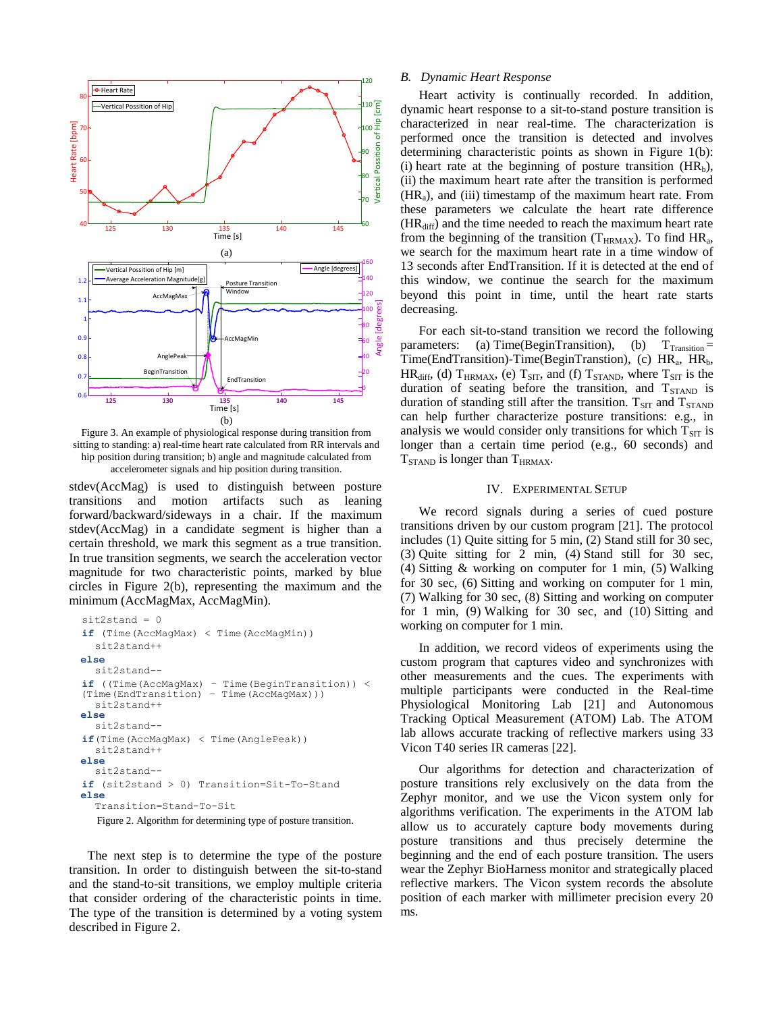

<span id="page-2-1"></span>Figure 3. An example of physiological response during transition from sitting to standing: a) real-time heart rate calculated from RR intervals and hip position during transition; b) angle and magnitude calculated from accelerometer signals and hip position during transition.

stdev(AccMag) is used to distinguish between posture transitions and motion artifacts such as leaning forward/backward/sideways in a chair. If the maximum stdev(AccMag) in a candidate segment is higher than a certain threshold, we mark this segment as a true transition. In true transition segments, we search the acceleration vector magnitude for two characteristic points, marked by blue circles in Figure 2(b), representing the maximum and the minimum (AccMagMax, AccMagMin).

```
sit2stand = 0
if (Time(AccMagMax) < Time(AccMagMin))
  sit2stand++ 
else
  sit2stand--
if ((Time(AccMagMax) – Time(BeginTransition)) < 
(Time(EndTransition) – Time(AccMagMax)))
  sit2stand++ 
else
  sit2stand--
if(Time(AccMagMax) < Time(AnglePeak))
  sit2stand++ 
else
  sit2stand--
if (sit2stand > 0) Transition=Sit-To-Stand
else
  Transition=Stand-To-Sit
```
<span id="page-2-2"></span>Figure 2. Algorithm for determining type of posture transition.

<span id="page-2-0"></span>The next step is to determine the type of the posture transition. In order to distinguish between the sit-to-stand and the stand-to-sit transitions, we employ multiple criteria that consider ordering of the characteristic points in time. The type of the transition is determined by a voting system described in [Figure 2.](#page-2-2)

#### *B. Dynamic Heart Response*

Heart activity is continually recorded. In addition, dynamic heart response to a sit-to-stand posture transition is characterized in near real-time. The characterization is performed once the transition is detected and involves determining characteristic points as shown in [Figure 1\(](#page-1-0)b): (i) heart rate at the beginning of posture transition  $(HR_b)$ , (ii) the maximum heart rate after the transition is performed  $(HR<sub>a</sub>)$ , and (iii) timestamp of the maximum heart rate. From these parameters we calculate the heart rate difference  $(HR<sub>diff</sub>)$  and the time needed to reach the maximum heart rate from the beginning of the transition ( $T_{\text{HRMAX}}$ ). To find  $HR_a$ , we search for the maximum heart rate in a time window of 13 seconds after EndTransition. If it is detected at the end of this window, we continue the search for the maximum beyond this point in time, until the heart rate starts decreasing.

For each sit-to-stand transition we record the following parameters: (a) Time(BeginTransition), (b)  $T_{\text{transition}} =$ Time(EndTransition)-Time(BeginTranstion), (c)  $HR_a$ ,  $HR_b$ ,  $HR_{diff}$ , (d)  $T_{HRMAX}$ , (e)  $T_{SIT}$ , and (f)  $T_{STAND}$ , where  $T_{SIT}$  is the duration of seating before the transition, and  $T_{STAND}$  is duration of standing still after the transition.  $T_{\text{ST}}$  and  $T_{\text{STAND}}$ can help further characterize posture transitions: e.g., in analysis we would consider only transitions for which  $T<sub>SIT</sub>$  is longer than a certain time period (e.g., 60 seconds) and  $T_{STAND}$  is longer than  $T_{HRMAX}$ .

# IV. EXPERIMENTAL SETUP

We record signals during a series of cued posture transitions driven by our custom program [21]. The protocol includes (1) Quite sitting for 5 min, (2) Stand still for 30 sec, (3) Quite sitting for 2 min, (4) Stand still for 30 sec, (4) Sitting & working on computer for 1 min, (5) Walking for 30 sec, (6) Sitting and working on computer for 1 min, (7) Walking for 30 sec, (8) Sitting and working on computer for 1 min, (9) Walking for 30 sec, and (10) Sitting and working on computer for 1 min.

In addition, we record videos of experiments using the custom program that captures video and synchronizes with other measurements and the cues. The experiments with multiple participants were conducted in the Real-time Physiological Monitoring Lab [21] and Autonomous Tracking Optical Measurement (ATOM) Lab. The ATOM lab allows accurate tracking of reflective markers using 33 Vicon T40 series IR cameras [22].

Our algorithms for detection and characterization of posture transitions rely exclusively on the data from the Zephyr monitor, and we use the Vicon system only for algorithms verification. The experiments in the ATOM lab allow us to accurately capture body movements during posture transitions and thus precisely determine the beginning and the end of each posture transition. The users wear the Zephyr BioHarness monitor and strategically placed reflective markers. The Vicon system records the absolute position of each marker with millimeter precision every 20 ms.